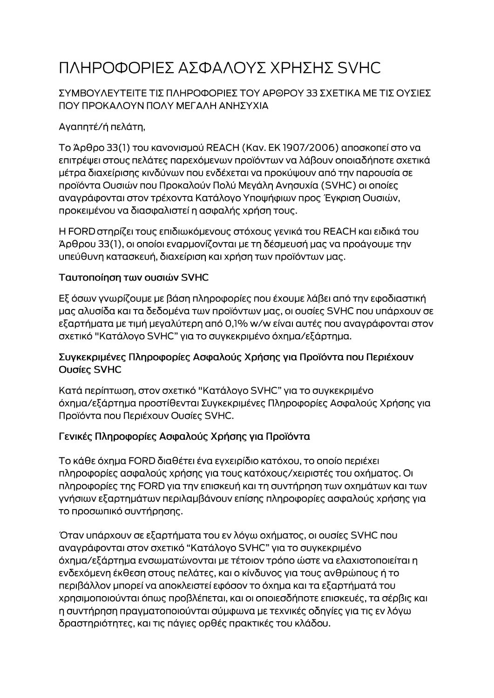# ΠΛΗΡΟΦΟΡΙΕΣ ΑΣΦΑΛΟΥΣ ΧΡΗΣΗΣ SVHC

### ΣΥΜΒΟΥΛΕΥΤΕΙΤΕ ΤΙΣ ΠΛΗΡΟΦΟΡΙΕΣ ΤΟΥ ΑΡΘΡΟΥ 33 ΣΧΕΤΙΚΑ ΜΕ ΤΙΣ ΟΥΣΙΕΣ ΠΟΥ ΠΡΟΚΑΛΟΥΝ ΠΟΛΥ ΜΕΓΑΛΗ ΑΝΗΣΥΧΙΑ

# Αγαπητέ/ή πελάτη,

Το Άρθρο 33(1) του κανονισμού REACH (Καν. ΕΚ 1907/2006) αποσκοπεί στο να επιτρέψει στους πελάτες παρεχόμενων προϊόντων να λάβουν οποιαδήποτε σχετικά μέτρα διαχείρισης κινδύνων που ενδέχεται να προκύψουν από την παρουσία σε προϊόντα Ουσιών που Προκαλούν Πολύ Μεγάλη Ανησυχία (SVHC) οι οποίες αναγράφονται στον τρέχοντα Κατάλογο Υποψήφιων προς Έγκριση Ουσιών, προκειμένου να διασφαλιστεί η ασφαλής χρήση τους.

Η FORD στηρίζει τους επιδιωκόμενους στόχους γενικά του REACH και ειδικά του Άρθρου 33(1), οι οποίοι εναρμονίζονται με τη δέσμευσή μας να προάγουμε την υπεύθυνη κατασκευή, διαχείριση και χρήση των προϊόντων μας.

#### Ταυτοποίηση των ουσιών SVHC

Εξ όσων γνωρίζουμε με βάση πληροφορίες που έχουμε λάβει από την εφοδιαστική μας αλυσίδα και τα δεδομένα των προϊόντων μας, οι ουσίες SVHC που υπάρχουν σε εξαρτήματα με τιμή μεγαλύτερη από 0,1% w/w είναι αυτές που αναγράφονται στον σχετικό "Κατάλογο SVHC" για το συγκεκριμένο όχημα/εξάρτημα.

#### Συγκεκριμένες Πληροφορίες Ασφαλούς Χρήσης για Προϊόντα που Περιέχουν Ουσίες SVHC

Κατά περίπτωση, στον σχετικό "Κατάλογο SVHC" για το συγκεκριμένο όχημα/εξάρτημα προστίθενται Συγκεκριμένες Πληροφορίες Ασφαλούς Χρήσης για Προϊόντα που Περιέχουν Ουσίες SVHC.

## Γενικές Πληροφορίες Ασφαλούς Χρήσης για Προϊόντα

Το κάθε όχημα FORD διαθέτει ένα εγχειρίδιο κατόχου, το οποίο περιέχει πληροφορίες ασφαλούς χρήσης για τους κατόχους/χειριστές του οχήματος. Οι πληροφορίες της FORD για την επισκευή και τη συντήρηση των οχημάτων και των γνήσιων εξαρτημάτων περιλαμβάνουν επίσης πληροφορίες ασφαλούς χρήσης για το προσωπικό συντήρησης.

Όταν υπάρχουν σε εξαρτήματα του εν λόγω οχήματος, οι ουσίες SVHC που αναγράφονται στον σχετικό "Κατάλογο SVHC" για το συγκεκριμένο όχημα/εξάρτημα ενσωματώνονται με τέτοιον τρόπο ώστε να ελαχιστοποιείται η ενδεχόμενη έκθεση στους πελάτες, και ο κίνδυνος για τους ανθρώπους ή το περιβάλλον μπορεί να αποκλειστεί εφόσον το όχημα και τα εξαρτήματά του χρησιμοποιούνται όπως προβλέπεται, και οι οποιεσδήποτε επισκευές, τα σέρβις και η συντήρηση πραγματοποιούνται σύμφωνα με τεχνικές οδηγίες για τις εν λόγω δραστηριότητες, και τις πάγιες ορθές πρακτικές του κλάδου.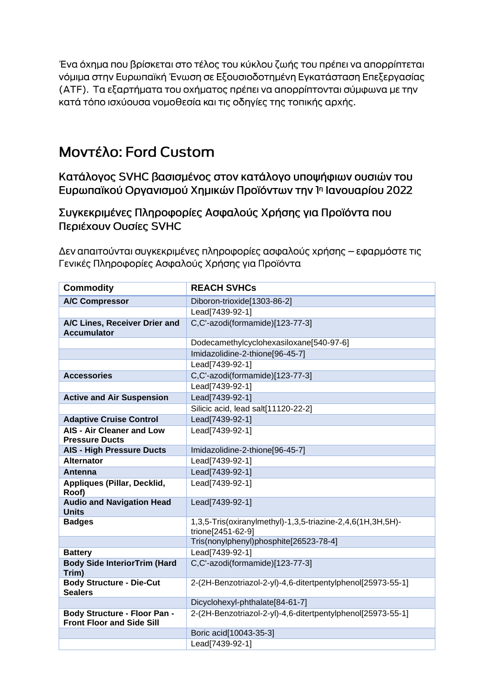Ένα όχημα που βρίσκεται στο τέλος του κύκλου ζωής του πρέπει να απορρίπτεται νόμιμα στην Ευρωπαϊκή Ένωση σε Εξουσιοδοτημένη Εγκατάσταση Επεξεργασίας (ΑΤΕ). Τα εξαρτήματα του οχήματος πρέπει να απορρίπτονται σύμφωνα με την κατά τόπο ισχύουσα νομοθεσία και τις οδηγίες της τοπικής αρχής.

# Μοντέλο: Ford Custom

Κατάλογος SVHC βασισμένος στον κατάλογο υποψήφιων ουσιών του Ευρωπαϊκού Οργανισμού Χημικών Προϊόντων την 1η Ιανουαρίου 2022

Συγκεκριμένες Πληροφορίες Ασφαλούς Χρήσης για Προϊόντα που Περιέχουν Ουσίες SVHC

Δεν απαιτούνται συγκεκριμένες πληροφορίες ασφαλούς χρήσης – εφαρμόστε τις Γενικές Πληροφορίες Ασφαλούς Χρήσης για Προϊόντα

| <b>Commodity</b>                                                        | <b>REACH SVHCs</b>                                                              |
|-------------------------------------------------------------------------|---------------------------------------------------------------------------------|
| <b>A/C Compressor</b>                                                   | Diboron-trioxide[1303-86-2]                                                     |
|                                                                         | Lead[7439-92-1]                                                                 |
| A/C Lines, Receiver Drier and<br><b>Accumulator</b>                     | C,C'-azodi(formamide)[123-77-3]                                                 |
|                                                                         | Dodecamethylcyclohexasiloxane[540-97-6]                                         |
|                                                                         | Imidazolidine-2-thione[96-45-7]                                                 |
|                                                                         | Lead[7439-92-1]                                                                 |
| <b>Accessories</b>                                                      | C,C'-azodi(formamide)[123-77-3]                                                 |
|                                                                         | Lead[7439-92-1]                                                                 |
| <b>Active and Air Suspension</b>                                        | Lead[7439-92-1]                                                                 |
|                                                                         | Silicic acid, lead salt[11120-22-2]                                             |
| <b>Adaptive Cruise Control</b>                                          | Lead[7439-92-1]                                                                 |
| <b>AIS - Air Cleaner and Low</b><br><b>Pressure Ducts</b>               | Lead[7439-92-1]                                                                 |
| <b>AIS - High Pressure Ducts</b>                                        | Imidazolidine-2-thione[96-45-7]                                                 |
| <b>Alternator</b>                                                       | Lead[7439-92-1]                                                                 |
| <b>Antenna</b>                                                          | Lead[7439-92-1]                                                                 |
| Appliques (Pillar, Decklid,<br>Roof)                                    | Lead[7439-92-1]                                                                 |
| <b>Audio and Navigation Head</b><br><b>Units</b>                        | Lead[7439-92-1]                                                                 |
| <b>Badges</b>                                                           | 1,3,5-Tris(oxiranylmethyl)-1,3,5-triazine-2,4,6(1H,3H,5H)-<br>trione[2451-62-9] |
|                                                                         | Tris(nonylphenyl)phosphite[26523-78-4]                                          |
| <b>Battery</b>                                                          | Lead[7439-92-1]                                                                 |
| <b>Body Side InteriorTrim (Hard</b><br>Trim)                            | C,C'-azodi(formamide)[123-77-3]                                                 |
| <b>Body Structure - Die-Cut</b><br><b>Sealers</b>                       | 2-(2H-Benzotriazol-2-yl)-4,6-ditertpentylphenol[25973-55-1]                     |
|                                                                         | Dicyclohexyl-phthalate[84-61-7]                                                 |
| <b>Body Structure - Floor Pan -</b><br><b>Front Floor and Side Sill</b> | 2-(2H-Benzotriazol-2-yl)-4,6-ditertpentylphenol[25973-55-1]                     |
|                                                                         | Boric acid[10043-35-3]                                                          |
|                                                                         | Lead[7439-92-1]                                                                 |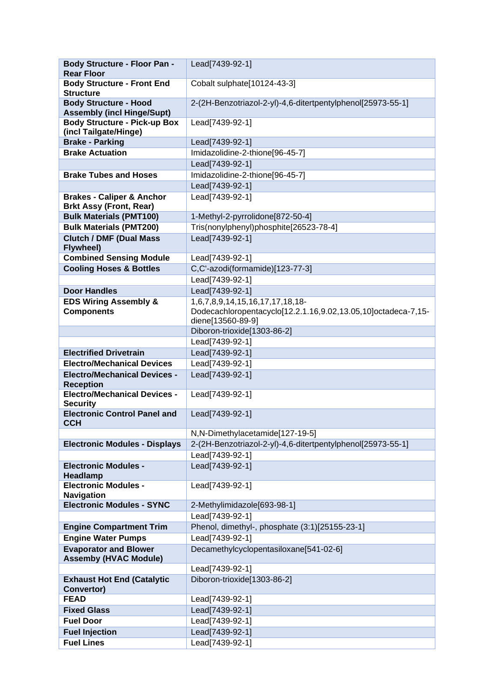| <b>Body Structure - Floor Pan -</b>                              | Lead[7439-92-1]                                               |
|------------------------------------------------------------------|---------------------------------------------------------------|
| <b>Rear Floor</b>                                                |                                                               |
| <b>Body Structure - Front End</b><br><b>Structure</b>            | Cobalt sulphate[10124-43-3]                                   |
| <b>Body Structure - Hood</b>                                     | 2-(2H-Benzotriazol-2-yl)-4,6-ditertpentylphenol[25973-55-1]   |
| <b>Assembly (incl Hinge/Supt)</b>                                |                                                               |
| <b>Body Structure - Pick-up Box</b>                              | Lead[7439-92-1]                                               |
| (incl Tailgate/Hinge)                                            |                                                               |
| <b>Brake - Parking</b>                                           | Lead[7439-92-1]                                               |
| <b>Brake Actuation</b>                                           | Imidazolidine-2-thione[96-45-7]                               |
|                                                                  | Lead[7439-92-1]                                               |
| <b>Brake Tubes and Hoses</b>                                     | Imidazolidine-2-thione[96-45-7]                               |
|                                                                  | Lead[7439-92-1]                                               |
| <b>Brakes - Caliper &amp; Anchor</b>                             | Lead[7439-92-1]                                               |
| <b>Brkt Assy (Front, Rear)</b><br><b>Bulk Materials (PMT100)</b> | 1-Methyl-2-pyrrolidone[872-50-4]                              |
| <b>Bulk Materials (PMT200)</b>                                   | Tris(nonylphenyl)phosphite[26523-78-4]                        |
| <b>Clutch / DMF (Dual Mass</b>                                   | Lead[7439-92-1]                                               |
| Flywheel)                                                        |                                                               |
| <b>Combined Sensing Module</b>                                   | Lead[7439-92-1]                                               |
| <b>Cooling Hoses &amp; Bottles</b>                               | C,C'-azodi(formamide)[123-77-3]                               |
|                                                                  | Lead[7439-92-1]                                               |
| <b>Door Handles</b>                                              | Lead[7439-92-1]                                               |
| <b>EDS Wiring Assembly &amp;</b>                                 | 1,6,7,8,9,14,15,16,17,17,18,18-                               |
| <b>Components</b>                                                | Dodecachloropentacyclo[12.2.1.16,9.02,13.05,10]octadeca-7,15- |
|                                                                  | diene[13560-89-9]                                             |
|                                                                  | Diboron-trioxide[1303-86-2]                                   |
|                                                                  | Lead[7439-92-1]                                               |
| <b>Electrified Drivetrain</b>                                    | Lead[7439-92-1]                                               |
| <b>Electro/Mechanical Devices</b>                                | Lead[7439-92-1]                                               |
| <b>Electro/Mechanical Devices -</b><br><b>Reception</b>          | Lead[7439-92-1]                                               |
| <b>Electro/Mechanical Devices -</b>                              | Lead[7439-92-1]                                               |
| <b>Security</b><br><b>Electronic Control Panel and</b>           | Lead[7439-92-1]                                               |
| <b>CCH</b>                                                       |                                                               |
|                                                                  | N,N-Dimethylacetamide[127-19-5]                               |
| <b>Electronic Modules - Displays</b>                             | 2-(2H-Benzotriazol-2-yl)-4,6-ditertpentylphenol[25973-55-1]   |
|                                                                  | Lead[7439-92-1]                                               |
| <b>Electronic Modules -</b><br>Headlamp                          | Lead[7439-92-1]                                               |
| <b>Electronic Modules -</b>                                      | Lead[7439-92-1]                                               |
| <b>Navigation</b>                                                |                                                               |
| <b>Electronic Modules - SYNC</b>                                 | 2-Methylimidazole[693-98-1]                                   |
|                                                                  | Lead[7439-92-1]                                               |
| <b>Engine Compartment Trim</b>                                   | Phenol, dimethyl-, phosphate (3:1)[25155-23-1]                |
| <b>Engine Water Pumps</b>                                        | Lead[7439-92-1]                                               |
| <b>Evaporator and Blower</b>                                     | Decamethylcyclopentasiloxane[541-02-6]                        |
| <b>Assemby (HVAC Module)</b>                                     |                                                               |
|                                                                  | Lead[7439-92-1]                                               |
| <b>Exhaust Hot End (Catalytic</b><br>Convertor)                  | Diboron-trioxide[1303-86-2]                                   |
| <b>FEAD</b>                                                      | Lead[7439-92-1]                                               |
| <b>Fixed Glass</b>                                               | Lead[7439-92-1]                                               |
| <b>Fuel Door</b>                                                 | Lead[7439-92-1]                                               |
| <b>Fuel Injection</b>                                            | Lead[7439-92-1]                                               |
| <b>Fuel Lines</b>                                                | Lead[7439-92-1]                                               |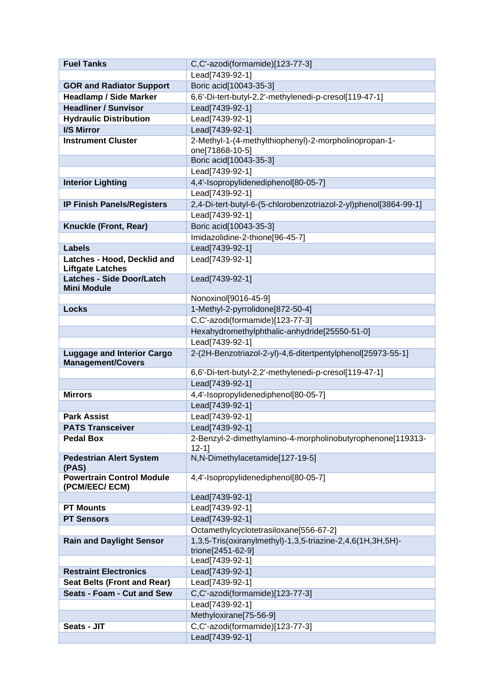| <b>Fuel Tanks</b>                                             | C,C'-azodi(formamide)[123-77-3]                                  |
|---------------------------------------------------------------|------------------------------------------------------------------|
|                                                               | Lead[7439-92-1]                                                  |
| <b>GOR and Radiator Support</b>                               | Boric acid[10043-35-3]                                           |
| <b>Headlamp / Side Marker</b>                                 | 6,6'-Di-tert-butyl-2,2'-methylenedi-p-cresol[119-47-1]           |
| <b>Headliner / Sunvisor</b>                                   | Lead[7439-92-1]                                                  |
| <b>Hydraulic Distribution</b>                                 | Lead[7439-92-1]                                                  |
| I/S Mirror                                                    | Lead[7439-92-1]                                                  |
| <b>Instrument Cluster</b>                                     | 2-Methyl-1-(4-methylthiophenyl)-2-morpholinopropan-1-            |
|                                                               | one[71868-10-5]                                                  |
|                                                               | Boric acid[10043-35-3]                                           |
|                                                               | Lead[7439-92-1]                                                  |
| <b>Interior Lighting</b>                                      | 4,4'-Isopropylidenediphenol[80-05-7]                             |
|                                                               | Lead[7439-92-1]                                                  |
| <b>IP Finish Panels/Registers</b>                             | 2,4-Di-tert-butyl-6-(5-chlorobenzotriazol-2-yl)phenol[3864-99-1] |
|                                                               | Lead[7439-92-1]                                                  |
| Knuckle (Front, Rear)                                         | Boric acid[10043-35-3]                                           |
|                                                               | Imidazolidine-2-thione[96-45-7]                                  |
| <b>Labels</b>                                                 | Lead[7439-92-1]                                                  |
| Latches - Hood, Decklid and<br><b>Liftgate Latches</b>        | Lead[7439-92-1]                                                  |
| <b>Latches - Side Door/Latch</b>                              | Lead[7439-92-1]                                                  |
| <b>Mini Module</b>                                            |                                                                  |
|                                                               | Nonoxinol[9016-45-9]                                             |
| <b>Locks</b>                                                  | 1-Methyl-2-pyrrolidone[872-50-4]                                 |
|                                                               | C.C'-azodi(formamide)[123-77-3]                                  |
|                                                               | Hexahydromethylphthalic-anhydride[25550-51-0]                    |
|                                                               | Lead[7439-92-1]                                                  |
| <b>Luggage and Interior Cargo</b><br><b>Management/Covers</b> | 2-(2H-Benzotriazol-2-yl)-4,6-ditertpentylphenol[25973-55-1]      |
|                                                               | 6,6'-Di-tert-butyl-2,2'-methylenedi-p-cresol[119-47-1]           |
|                                                               | Lead[7439-92-1]                                                  |
| <b>Mirrors</b>                                                | 4,4'-Isopropylidenediphenol[80-05-7]                             |
|                                                               | Lead[7439-92-1]                                                  |
| <b>Park Assist</b>                                            | Lead[7439-92-1]                                                  |
| <b>PATS Transceiver</b>                                       | Lead[7439-92-1]                                                  |
| <b>Pedal Box</b>                                              | 2-Benzyl-2-dimethylamino-4-morpholinobutyrophenone[119313-       |
|                                                               | $12 - 1$<br>N,N-Dimethylacetamide[127-19-5]                      |
| <b>Pedestrian Alert System</b><br>(PAS)                       |                                                                  |
| <b>Powertrain Control Module</b>                              | 4,4'-Isopropylidenediphenol[80-05-7]                             |
| (PCM/EEC/ ECM)                                                | Lead[7439-92-1]                                                  |
| <b>PT Mounts</b>                                              | Lead[7439-92-1]                                                  |
| <b>PT Sensors</b>                                             | Lead[7439-92-1]                                                  |
|                                                               | Octamethylcyclotetrasiloxane[556-67-2]                           |
| <b>Rain and Daylight Sensor</b>                               | 1,3,5-Tris(oxiranylmethyl)-1,3,5-triazine-2,4,6(1H,3H,5H)-       |
|                                                               | trione[2451-62-9]                                                |
|                                                               | Lead[7439-92-1]                                                  |
| <b>Restraint Electronics</b>                                  | Lead[7439-92-1]                                                  |
| Seat Belts (Front and Rear)                                   | Lead[7439-92-1]                                                  |
| Seats - Foam - Cut and Sew                                    | C,C'-azodi(formamide)[123-77-3]                                  |
|                                                               | Lead[7439-92-1]                                                  |
|                                                               | Methyloxirane[75-56-9]                                           |
| Seats - JIT                                                   | C,C'-azodi(formamide)[123-77-3]                                  |
|                                                               | Lead[7439-92-1]                                                  |